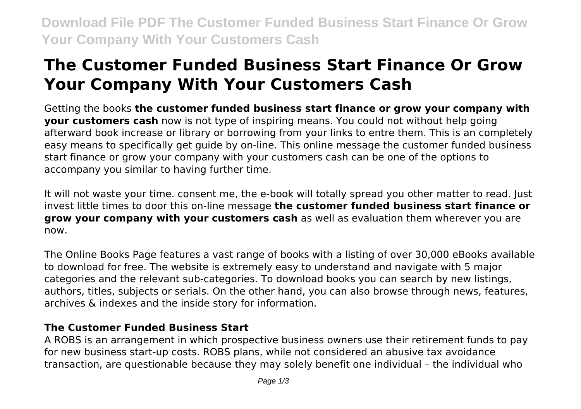**Download File PDF The Customer Funded Business Start Finance Or Grow Your Company With Your Customers Cash**

# **The Customer Funded Business Start Finance Or Grow Your Company With Your Customers Cash**

Getting the books **the customer funded business start finance or grow your company with your customers cash** now is not type of inspiring means. You could not without help going afterward book increase or library or borrowing from your links to entre them. This is an completely easy means to specifically get guide by on-line. This online message the customer funded business start finance or grow your company with your customers cash can be one of the options to accompany you similar to having further time.

It will not waste your time. consent me, the e-book will totally spread you other matter to read. Just invest little times to door this on-line message **the customer funded business start finance or grow your company with your customers cash** as well as evaluation them wherever you are now.

The Online Books Page features a vast range of books with a listing of over 30,000 eBooks available to download for free. The website is extremely easy to understand and navigate with 5 major categories and the relevant sub-categories. To download books you can search by new listings, authors, titles, subjects or serials. On the other hand, you can also browse through news, features, archives & indexes and the inside story for information.

#### **The Customer Funded Business Start**

A ROBS is an arrangement in which prospective business owners use their retirement funds to pay for new business start-up costs. ROBS plans, while not considered an abusive tax avoidance transaction, are questionable because they may solely benefit one individual – the individual who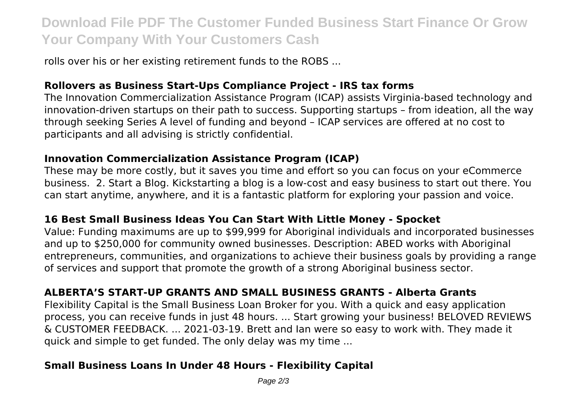## **Download File PDF The Customer Funded Business Start Finance Or Grow Your Company With Your Customers Cash**

rolls over his or her existing retirement funds to the ROBS ...

#### **Rollovers as Business Start-Ups Compliance Project - IRS tax forms**

The Innovation Commercialization Assistance Program (ICAP) assists Virginia-based technology and innovation-driven startups on their path to success. Supporting startups – from ideation, all the way through seeking Series A level of funding and beyond – ICAP services are offered at no cost to participants and all advising is strictly confidential.

#### **Innovation Commercialization Assistance Program (ICAP)**

These may be more costly, but it saves you time and effort so you can focus on your eCommerce business. 2. Start a Blog. Kickstarting a blog is a low-cost and easy business to start out there. You can start anytime, anywhere, and it is a fantastic platform for exploring your passion and voice.

#### **16 Best Small Business Ideas You Can Start With Little Money - Spocket**

Value: Funding maximums are up to \$99,999 for Aboriginal individuals and incorporated businesses and up to \$250,000 for community owned businesses. Description: ABED works with Aboriginal entrepreneurs, communities, and organizations to achieve their business goals by providing a range of services and support that promote the growth of a strong Aboriginal business sector.

#### **ALBERTA'S START-UP GRANTS AND SMALL BUSINESS GRANTS - Alberta Grants**

Flexibility Capital is the Small Business Loan Broker for you. With a quick and easy application process, you can receive funds in just 48 hours. ... Start growing your business! BELOVED REVIEWS & CUSTOMER FEEDBACK. ... 2021-03-19. Brett and Ian were so easy to work with. They made it quick and simple to get funded. The only delay was my time ...

#### **Small Business Loans In Under 48 Hours - Flexibility Capital**